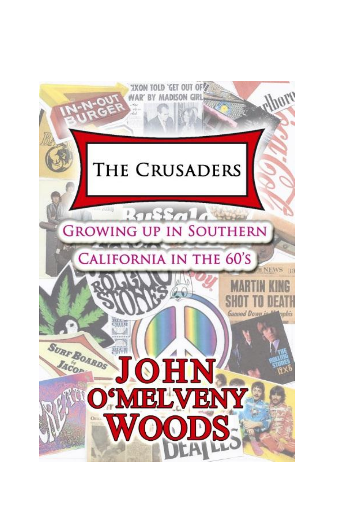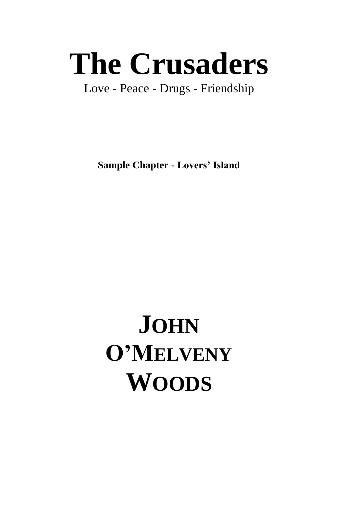# **The Crusaders**

Love - Peace - Drugs - Friendship

**Sample Chapter - Lovers' Island**

## **JOHN O'MELVENY WOODS**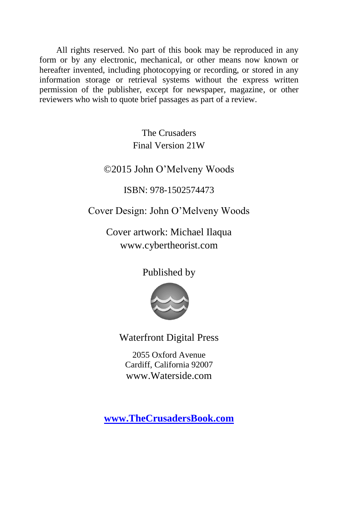All rights reserved. No part of this book may be reproduced in any form or by any electronic, mechanical, or other means now known or hereafter invented, including photocopying or recording, or stored in any information storage or retrieval systems without the express written permission of the publisher, except for newspaper, magazine, or other reviewers who wish to quote brief passages as part of a review.

> The Crusaders Final Version 21W

©2015 John O'Melveny Woods

ISBN: 978-1502574473

Cover Design: John O'Melveny Woods

Cover artwork: Michael Ilaqua www.cybertheorist.com

Published by



Waterfront Digital Press

2055 Oxford Avenue Cardiff, California 92007 www.Waterside.com

**[www.TheCrusadersBook.com](http://thecrusadersbook.com/)**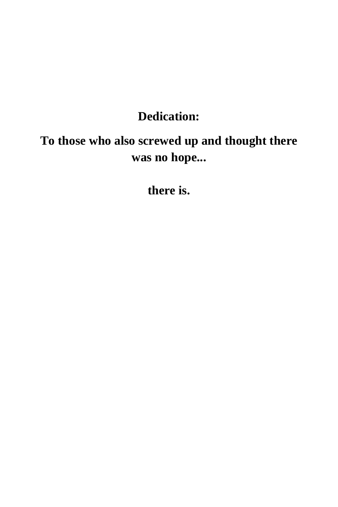### **Dedication:**

## **To those who also screwed up and thought there was no hope...**

**there is.**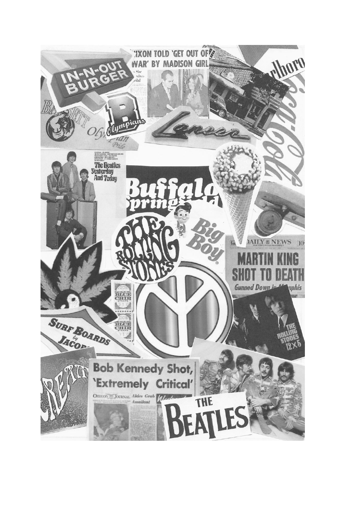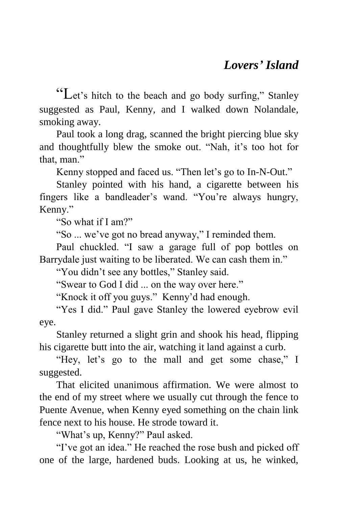"Let's hitch to the beach and go body surfing," Stanley suggested as Paul, Kenny, and I walked down Nolandale, smoking away.

Paul took a long drag, scanned the bright piercing blue sky and thoughtfully blew the smoke out. "Nah, it's too hot for that, man."

Kenny stopped and faced us. "Then let's go to In-N-Out."

Stanley pointed with his hand, a cigarette between his fingers like a bandleader's wand. "You're always hungry, Kenny."

"So what if I am?"

"So ... we've got no bread anyway," I reminded them.

Paul chuckled. "I saw a garage full of pop bottles on Barrydale just waiting to be liberated. We can cash them in."

"You didn't see any bottles," Stanley said.

"Swear to God I did ... on the way over here."

"Knock it off you guys." Kenny'd had enough.

"Yes I did." Paul gave Stanley the lowered eyebrow evil eye.

Stanley returned a slight grin and shook his head, flipping his cigarette butt into the air, watching it land against a curb.

"Hey, let's go to the mall and get some chase," I suggested.

That elicited unanimous affirmation. We were almost to the end of my street where we usually cut through the fence to Puente Avenue, when Kenny eyed something on the chain link fence next to his house. He strode toward it.

"What's up, Kenny?" Paul asked.

"I've got an idea." He reached the rose bush and picked off one of the large, hardened buds. Looking at us, he winked,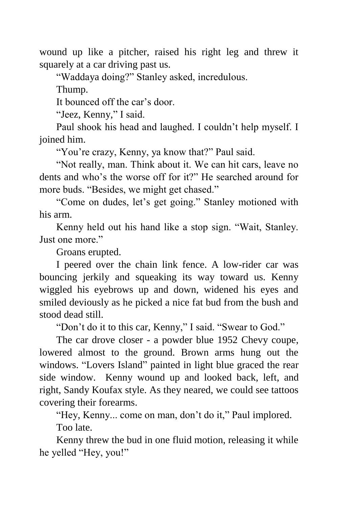wound up like a pitcher, raised his right leg and threw it squarely at a car driving past us.

"Waddaya doing?" Stanley asked, incredulous.

Thump.

It bounced off the car's door.

"Jeez, Kenny," I said.

Paul shook his head and laughed. I couldn't help myself. I joined him.

"You're crazy, Kenny, ya know that?" Paul said.

"Not really, man. Think about it. We can hit cars, leave no dents and who's the worse off for it?" He searched around for more buds. "Besides, we might get chased."

"Come on dudes, let's get going." Stanley motioned with his arm.

Kenny held out his hand like a stop sign. "Wait, Stanley. Just one more."

Groans erupted.

I peered over the chain link fence. A low-rider car was bouncing jerkily and squeaking its way toward us. Kenny wiggled his eyebrows up and down, widened his eyes and smiled deviously as he picked a nice fat bud from the bush and stood dead still.

"Don't do it to this car, Kenny," I said. "Swear to God."

The car drove closer - a powder blue 1952 Chevy coupe, lowered almost to the ground. Brown arms hung out the windows. "Lovers Island" painted in light blue graced the rear side window. Kenny wound up and looked back, left, and right, Sandy Koufax style. As they neared, we could see tattoos covering their forearms.

"Hey, Kenny... come on man, don't do it," Paul implored. Too late.

Kenny threw the bud in one fluid motion, releasing it while he yelled "Hey, you!"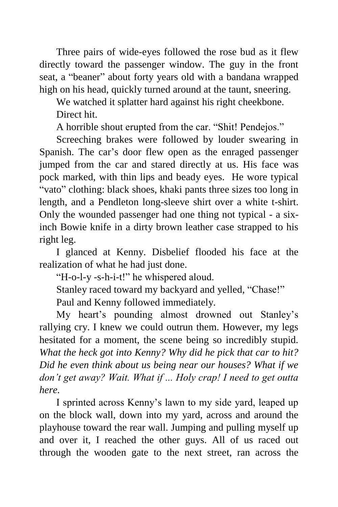Three pairs of wide-eyes followed the rose bud as it flew directly toward the passenger window. The guy in the front seat, a "beaner" about forty years old with a bandana wrapped high on his head, quickly turned around at the taunt, sneering.

We watched it splatter hard against his right cheekbone.

Direct hit.

A horrible shout erupted from the car. "Shit! Pendejos."

Screeching brakes were followed by louder swearing in Spanish. The car's door flew open as the enraged passenger jumped from the car and stared directly at us. His face was pock marked, with thin lips and beady eyes. He wore typical "vato" clothing: black shoes, khaki pants three sizes too long in length, and a Pendleton long-sleeve shirt over a white t-shirt. Only the wounded passenger had one thing not typical - a sixinch Bowie knife in a dirty brown leather case strapped to his right leg.

I glanced at Kenny. Disbelief flooded his face at the realization of what he had just done.

"H-o-l-y -s-h-i-t!" he whispered aloud.

Stanley raced toward my backyard and yelled, "Chase!"

Paul and Kenny followed immediately.

My heart's pounding almost drowned out Stanley's rallying cry. I knew we could outrun them. However, my legs hesitated for a moment, the scene being so incredibly stupid. *What the heck got into Kenny? Why did he pick that car to hit? Did he even think about us being near our houses? What if we don't get away? Wait. What if ... Holy crap! I need to get outta here.*

I sprinted across Kenny's lawn to my side yard, leaped up on the block wall, down into my yard, across and around the playhouse toward the rear wall. Jumping and pulling myself up and over it, I reached the other guys. All of us raced out through the wooden gate to the next street, ran across the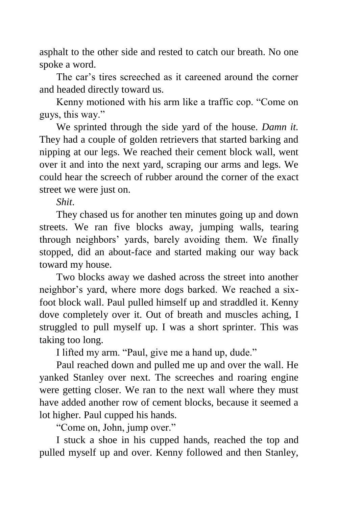asphalt to the other side and rested to catch our breath. No one spoke a word.

The car's tires screeched as it careened around the corner and headed directly toward us.

Kenny motioned with his arm like a traffic cop. "Come on guys, this way."

We sprinted through the side yard of the house. *Damn it.* They had a couple of golden retrievers that started barking and nipping at our legs. We reached their cement block wall, went over it and into the next yard, scraping our arms and legs. We could hear the screech of rubber around the corner of the exact street we were just on.

*Shit*.

They chased us for another ten minutes going up and down streets. We ran five blocks away, jumping walls, tearing through neighbors' yards, barely avoiding them. We finally stopped, did an about-face and started making our way back toward my house.

Two blocks away we dashed across the street into another neighbor's yard, where more dogs barked. We reached a sixfoot block wall. Paul pulled himself up and straddled it. Kenny dove completely over it. Out of breath and muscles aching, I struggled to pull myself up. I was a short sprinter. This was taking too long.

I lifted my arm. "Paul, give me a hand up, dude."

Paul reached down and pulled me up and over the wall. He yanked Stanley over next. The screeches and roaring engine were getting closer. We ran to the next wall where they must have added another row of cement blocks, because it seemed a lot higher. Paul cupped his hands.

"Come on, John, jump over."

I stuck a shoe in his cupped hands, reached the top and pulled myself up and over. Kenny followed and then Stanley,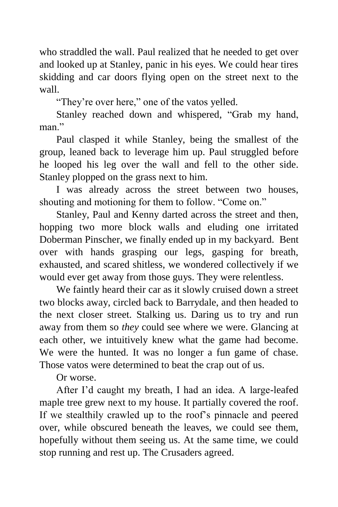who straddled the wall. Paul realized that he needed to get over and looked up at Stanley, panic in his eyes. We could hear tires skidding and car doors flying open on the street next to the wall.

"They're over here," one of the vatos yelled.

Stanley reached down and whispered, "Grab my hand, man"

Paul clasped it while Stanley, being the smallest of the group, leaned back to leverage him up. Paul struggled before he looped his leg over the wall and fell to the other side. Stanley plopped on the grass next to him.

I was already across the street between two houses, shouting and motioning for them to follow. "Come on."

Stanley, Paul and Kenny darted across the street and then, hopping two more block walls and eluding one irritated Doberman Pinscher, we finally ended up in my backyard. Bent over with hands grasping our legs, gasping for breath, exhausted, and scared shitless, we wondered collectively if we would ever get away from those guys. They were relentless.

We faintly heard their car as it slowly cruised down a street two blocks away, circled back to Barrydale, and then headed to the next closer street. Stalking us. Daring us to try and run away from them so *they* could see where we were. Glancing at each other, we intuitively knew what the game had become. We were the hunted. It was no longer a fun game of chase. Those vatos were determined to beat the crap out of us.

Or worse.

After I'd caught my breath, I had an idea. A large-leafed maple tree grew next to my house. It partially covered the roof. If we stealthily crawled up to the roof's pinnacle and peered over, while obscured beneath the leaves, we could see them, hopefully without them seeing us. At the same time, we could stop running and rest up. The Crusaders agreed.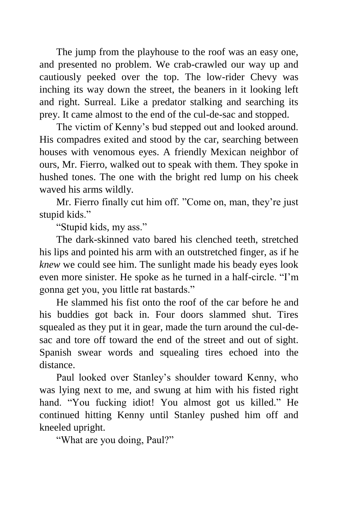The jump from the playhouse to the roof was an easy one, and presented no problem. We crab-crawled our way up and cautiously peeked over the top. The low-rider Chevy was inching its way down the street, the beaners in it looking left and right. Surreal. Like a predator stalking and searching its prey. It came almost to the end of the cul-de-sac and stopped.

The victim of Kenny's bud stepped out and looked around. His compadres exited and stood by the car, searching between houses with venomous eyes. A friendly Mexican neighbor of ours, Mr. Fierro, walked out to speak with them. They spoke in hushed tones. The one with the bright red lump on his cheek waved his arms wildly.

Mr. Fierro finally cut him off. "Come on, man, they're just stupid kids."

"Stupid kids, my ass."

The dark-skinned vato bared his clenched teeth, stretched his lips and pointed his arm with an outstretched finger, as if he *knew* we could see him. The sunlight made his beady eyes look even more sinister. He spoke as he turned in a half-circle. "I'm gonna get you, you little rat bastards."

He slammed his fist onto the roof of the car before he and his buddies got back in. Four doors slammed shut. Tires squealed as they put it in gear, made the turn around the cul-desac and tore off toward the end of the street and out of sight. Spanish swear words and squealing tires echoed into the distance.

Paul looked over Stanley's shoulder toward Kenny, who was lying next to me, and swung at him with his fisted right hand. "You fucking idiot! You almost got us killed." He continued hitting Kenny until Stanley pushed him off and kneeled upright.

"What are you doing, Paul?"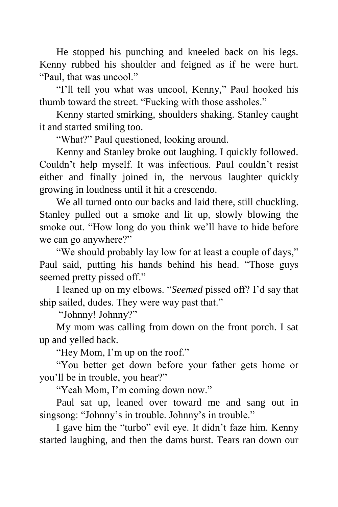He stopped his punching and kneeled back on his legs. Kenny rubbed his shoulder and feigned as if he were hurt. "Paul, that was uncool."

"I'll tell you what was uncool, Kenny," Paul hooked his thumb toward the street. "Fucking with those assholes."

Kenny started smirking, shoulders shaking. Stanley caught it and started smiling too.

"What?" Paul questioned, looking around.

Kenny and Stanley broke out laughing. I quickly followed. Couldn't help myself. It was infectious. Paul couldn't resist either and finally joined in, the nervous laughter quickly growing in loudness until it hit a crescendo.

We all turned onto our backs and laid there, still chuckling. Stanley pulled out a smoke and lit up, slowly blowing the smoke out. "How long do you think we'll have to hide before we can go anywhere?"

"We should probably lay low for at least a couple of days," Paul said, putting his hands behind his head. "Those guys seemed pretty pissed off."

I leaned up on my elbows. "*Seemed* pissed off? I'd say that ship sailed, dudes. They were way past that."

"Johnny! Johnny?"

My mom was calling from down on the front porch. I sat up and yelled back.

"Hey Mom, I'm up on the roof."

"You better get down before your father gets home or you'll be in trouble, you hear?"

"Yeah Mom, I'm coming down now."

Paul sat up, leaned over toward me and sang out in singsong: "Johnny's in trouble. Johnny's in trouble."

I gave him the "turbo" evil eye. It didn't faze him. Kenny started laughing, and then the dams burst. Tears ran down our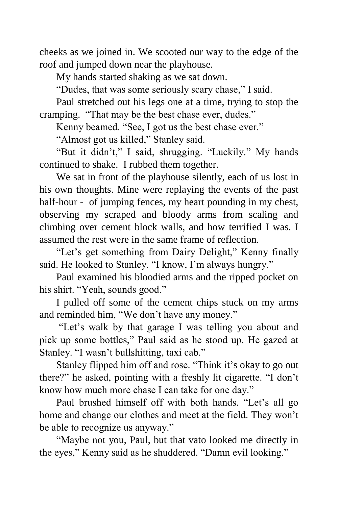cheeks as we joined in. We scooted our way to the edge of the roof and jumped down near the playhouse.

My hands started shaking as we sat down.

"Dudes, that was some seriously scary chase," I said.

Paul stretched out his legs one at a time, trying to stop the cramping. "That may be the best chase ever, dudes."

Kenny beamed. "See, I got us the best chase ever."

"Almost got us killed," Stanley said.

"But it didn't," I said, shrugging. "Luckily." My hands continued to shake. I rubbed them together.

We sat in front of the playhouse silently, each of us lost in his own thoughts. Mine were replaying the events of the past half-hour - of jumping fences, my heart pounding in my chest, observing my scraped and bloody arms from scaling and climbing over cement block walls, and how terrified I was. I assumed the rest were in the same frame of reflection.

"Let's get something from Dairy Delight," Kenny finally said. He looked to Stanley. "I know, I'm always hungry."

Paul examined his bloodied arms and the ripped pocket on his shirt. "Yeah, sounds good."

I pulled off some of the cement chips stuck on my arms and reminded him, "We don't have any money."

"Let's walk by that garage I was telling you about and pick up some bottles," Paul said as he stood up. He gazed at Stanley. "I wasn't bullshitting, taxi cab."

Stanley flipped him off and rose. "Think it's okay to go out there?" he asked, pointing with a freshly lit cigarette. "I don't know how much more chase I can take for one day."

Paul brushed himself off with both hands. "Let's all go home and change our clothes and meet at the field. They won't be able to recognize us anyway."

"Maybe not you, Paul, but that vato looked me directly in the eyes," Kenny said as he shuddered. "Damn evil looking."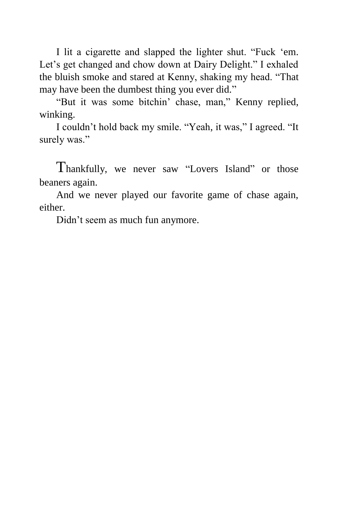I lit a cigarette and slapped the lighter shut. "Fuck 'em. Let's get changed and chow down at Dairy Delight." I exhaled the bluish smoke and stared at Kenny, shaking my head. "That may have been the dumbest thing you ever did."

"But it was some bitchin' chase, man," Kenny replied, winking.

I couldn't hold back my smile. "Yeah, it was," I agreed. "It surely was."

Thankfully, we never saw "Lovers Island" or those beaners again.

And we never played our favorite game of chase again, either.

Didn't seem as much fun anymore.